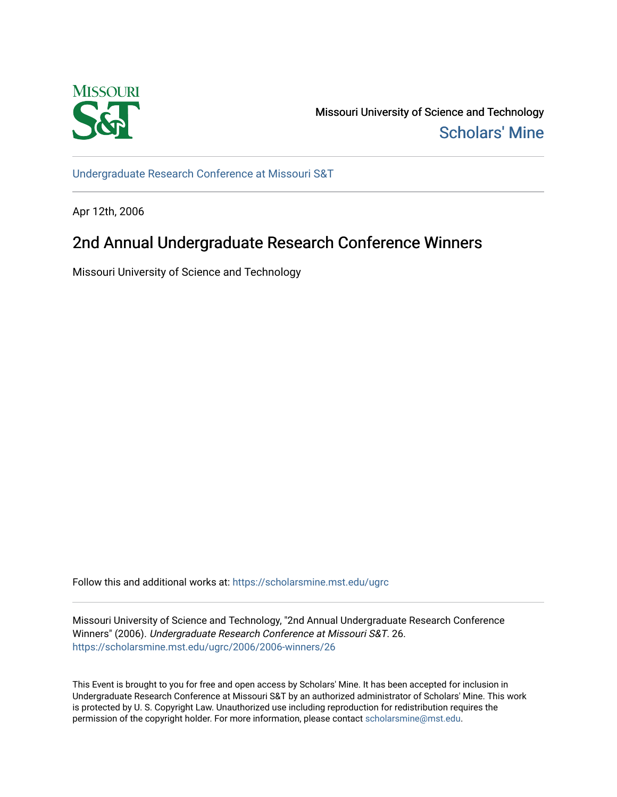

Missouri University of Science and Technology [Scholars' Mine](https://scholarsmine.mst.edu/) 

[Undergraduate Research Conference at Missouri S&T](https://scholarsmine.mst.edu/ugrc)

Apr 12th, 2006

# 2nd Annual Undergraduate Research Conference Winners

Missouri University of Science and Technology

Follow this and additional works at: [https://scholarsmine.mst.edu/ugrc](https://scholarsmine.mst.edu/ugrc?utm_source=scholarsmine.mst.edu%2Fugrc%2F2006%2F2006-winners%2F26&utm_medium=PDF&utm_campaign=PDFCoverPages) 

Missouri University of Science and Technology, "2nd Annual Undergraduate Research Conference Winners" (2006). Undergraduate Research Conference at Missouri S&T. 26. [https://scholarsmine.mst.edu/ugrc/2006/2006-winners/26](https://scholarsmine.mst.edu/ugrc/2006/2006-winners/26?utm_source=scholarsmine.mst.edu%2Fugrc%2F2006%2F2006-winners%2F26&utm_medium=PDF&utm_campaign=PDFCoverPages)

This Event is brought to you for free and open access by Scholars' Mine. It has been accepted for inclusion in Undergraduate Research Conference at Missouri S&T by an authorized administrator of Scholars' Mine. This work is protected by U. S. Copyright Law. Unauthorized use including reproduction for redistribution requires the permission of the copyright holder. For more information, please contact [scholarsmine@mst.edu](mailto:scholarsmine@mst.edu).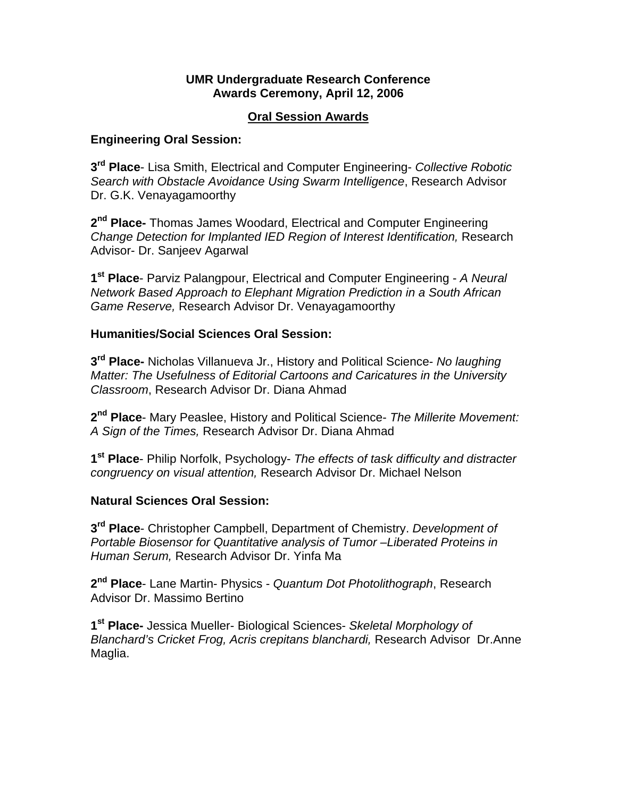#### **UMR Undergraduate Research Conference Awards Ceremony, April 12, 2006**

#### **Oral Session Awards**

#### **Engineering Oral Session:**

**3rd Place**- Lisa Smith, Electrical and Computer Engineering- *Collective Robotic Search with Obstacle Avoidance Using Swarm Intelligence*, Research Advisor Dr. G.K. Venayagamoorthy

**2nd Place-** Thomas James Woodard, Electrical and Computer Engineering *Change Detection for Implanted IED Region of Interest Identification,* Research Advisor- Dr. Sanjeev Agarwal

**1st Place**- Parviz Palangpour, Electrical and Computer Engineering - *A Neural Network Based Approach to Elephant Migration Prediction in a South African Game Reserve,* Research Advisor Dr. Venayagamoorthy

## **Humanities/Social Sciences Oral Session:**

**3rd Place-** Nicholas Villanueva Jr., History and Political Science- *No laughing Matter: The Usefulness of Editorial Cartoons and Caricatures in the University Classroom*, Research Advisor Dr. Diana Ahmad

**2nd Place**- Mary Peaslee, History and Political Science- *The Millerite Movement: A Sign of the Times,* Research Advisor Dr. Diana Ahmad

**1st Place**- Philip Norfolk, Psychology- *The effects of task difficulty and distracter congruency on visual attention,* Research Advisor Dr. Michael Nelson

#### **Natural Sciences Oral Session:**

**3rd Place**- Christopher Campbell, Department of Chemistry. *Development of Portable Biosensor for Quantitative analysis of Tumor –Liberated Proteins in Human Serum,* Research Advisor Dr. Yinfa Ma

**2nd Place**- Lane Martin- Physics - *Quantum Dot Photolithograph*, Research Advisor Dr. Massimo Bertino

**1st Place-** Jessica Mueller- Biological Sciences- *Skeletal Morphology of Blanchard's Cricket Frog, Acris crepitans blanchardi,* Research Advisor Dr.Anne Maglia.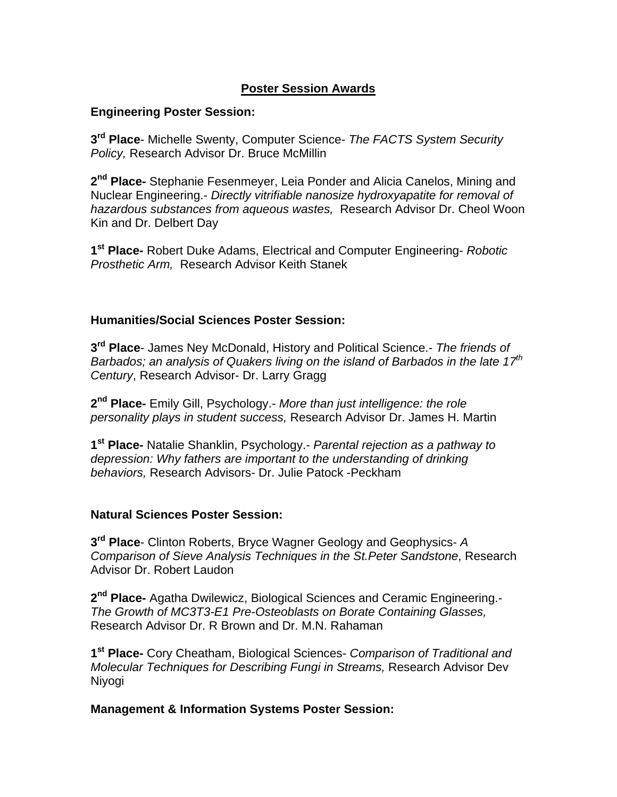## **Poster Session Awards**

#### **Engineering Poster Session:**

**3rd Place**- Michelle Swenty, Computer Science- *The FACTS System Security Policy,* Research Advisor Dr. Bruce McMillin

**2nd Place-** Stephanie Fesenmeyer, Leia Ponder and Alicia Canelos, Mining and Nuclear Engineering.- *Directly vitrifiable nanosize hydroxyapatite for removal of hazardous substances from aqueous wastes,* Research Advisor Dr. Cheol Woon Kin and Dr. Delbert Day

**1st Place-** Robert Duke Adams, Electrical and Computer Engineering- *Robotic Prosthetic Arm,* Research Advisor Keith Stanek

#### **Humanities/Social Sciences Poster Session:**

**3rd Place**- James Ney McDonald, History and Political Science.- *The friends of Barbados; an analysis of Quakers living on the island of Barbados in the late 17th Century*, Research Advisor- Dr. Larry Gragg

**2nd Place-** Emily Gill, Psychology.- *More than just intelligence: the role personality plays in student success,* Research Advisor Dr. James H. Martin

**1st Place-** Natalie Shanklin, Psychology.- *Parental rejection as a pathway to depression: Why fathers are important to the understanding of drinking behaviors,* Research Advisors- Dr. Julie Patock -Peckham

## **Natural Sciences Poster Session:**

**3rd Place**- Clinton Roberts, Bryce Wagner Geology and Geophysics- *A Comparison of Sieve Analysis Techniques in the St.Peter Sandstone*, Research Advisor Dr. Robert Laudon

**2nd Place-** Agatha Dwilewicz, Biological Sciences and Ceramic Engineering.- *The Growth of MC3T3-E1 Pre-Osteoblasts on Borate Containing Glasses,*  Research Advisor Dr. R Brown and Dr. M.N. Rahaman

**1st Place-** Cory Cheatham, Biological Sciences- *Comparison of Traditional and Molecular Techniques for Describing Fungi in Streams,* Research Advisor Dev Niyogi

#### **Management & Information Systems Poster Session:**